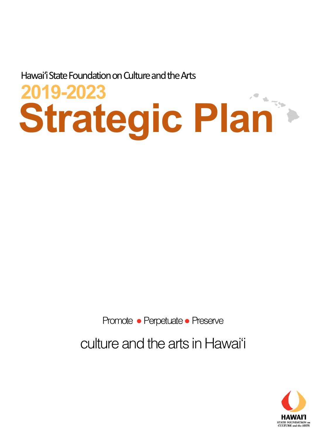Hawai'i State Foundation on Culture and the Arts

# **Strategic Plan 2019-2023**

Promote • Perpetuate • Preserve

culture and the arts in Hawai'i

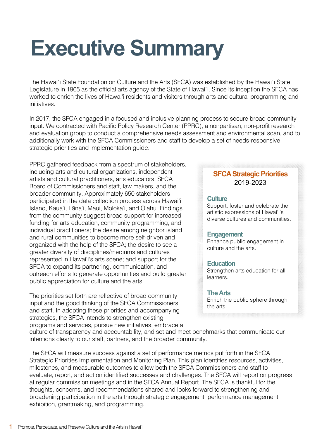## **Executive Summary**

The Hawai`i State Foundation on Culture and the Arts (SFCA) was established by the Hawai`i State Legislature in 1965 as the official arts agency of the State of Hawai`i. Since its inception the SFCA has worked to enrich the lives of Hawai'i residents and visitors through arts and cultural programming and initiatives.

In 2017, the SFCA engaged in a focused and inclusive planning process to secure broad community input. We contracted with Pacific Policy Research Center (PPRC), a nonpartisan, non-profit research and evaluation group to conduct a comprehensive needs assessment and environmental scan, and to additionally work with the SFCA Commissioners and staff to develop a set of needs-responsive strategic priorities and implementation guide.

PPRC gathered feedback from a spectrum of stakeholders, including arts and cultural organizations, independent artists and cultural practitioners, arts educators, SFCA Board of Commissioners and staff, law makers, and the broader community. Approximately 650 stakeholders participated in the data collection process across Hawai'i Island, Kaua'i, Lāna'i, Maui, Moloka'i, and O'ahu. Findings from the community suggest broad support for increased funding for arts education, community programming, and individual practitioners; the desire among neighbor island and rural communities to become more self-driven and organized with the help of the SFCA; the desire to see a greater diversity of disciplines/mediums and cultures represented in Hawai'iʻs arts scene; and support for the SFCA to expand its partnering, communication, and outreach efforts to generate opportunities and build greater public appreciation for culture and the arts.

The priorities set forth are reflective of broad community input and the good thinking of the SFCA Commissioners and staff. In adopting these priorities and accompanying strategies, the SFCA intends to strengthen existing programs and services, pursue new initiatives, embrace a

#### **SFCA Strategic Priorities**  2019-2023

#### **Culture**

Support, foster and celebrate the artistic expressions of Hawai'i's diverse cultures and communities.

#### **Engagement**

Enhance public engagement in culture and the arts.

#### **Education**

Strengthen arts education for all learners.

#### **The Arts**

Enrich the public sphere through the arts.

culture of transparency and accountability, and set and meet benchmarks that communicate our intentions clearly to our staff, partners, and the broader community.

The SFCA will measure success against a set of performance metrics put forth in the SFCA Strategic Priorities Implementation and Monitoring Plan. This plan identifies resources, activities, milestones, and measurable outcomes to allow both the SFCA Commissioners and staff to evaluate, report, and act on identified successes and challenges. The SFCA will report on progress at regular commission meetings and in the SFCA Annual Report. The SFCA is thankful for the thoughts, concerns, and recommendations shared and looks forward to strengthening and broadening participation in the arts through strategic engagement, performance management, exhibition, grantmaking, and programming.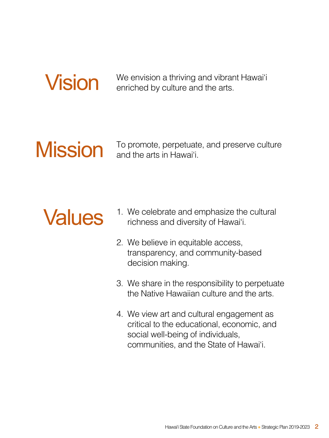

**Vision** We envision a thriving and vibrant Hawai'i enriched by culture and the arts.

## Mission

To promote, perpetuate, and preserve culture and the arts in Hawai'i.

## Values

- 1. We celebrate and emphasize the cultural richness and diversity of Hawai'i.
- 2. We believe in equitable access, transparency, and community-based decision making.
- 3. We share in the responsibility to perpetuate the Native Hawaiian culture and the arts.
- 4. We view art and cultural engagement as critical to the educational, economic, and social well-being of individuals, communities, and the State of Hawai'i.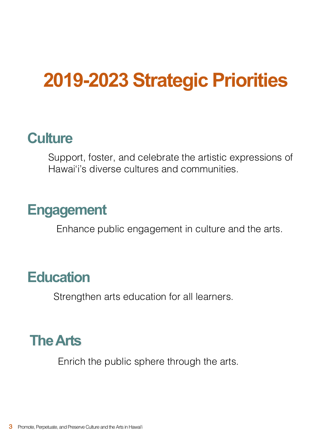## **2019-2023 Strategic Priorities**

## **Culture**

Support, foster, and celebrate the artistic expressions of Hawai'i's diverse cultures and communities.

### **Engagement**

Enhance public engagement in culture and the arts.

### **Education**

Strengthen arts education for all learners.

## **The Arts**

Enrich the public sphere through the arts.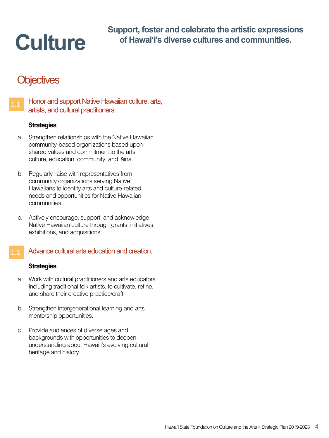## **Culture**

**Support, foster and celebrate the artistic expressions of Hawai'i's diverse cultures and communities.**

### **Objectives**



#### **Strategies**

- a. Strengthen relationships with the Native Hawaiian community-based organizations based upon shared values and commitment to the arts, culture, education, community, and ʻāina.
- b. Regularly liaise with representatives from community organizations serving Native Hawaiians to identify arts and culture-related needs and opportunities for Native Hawaiian communities.
- c. Actively encourage, support, and acknowledge Native Hawaiian culture through grants, initiatives, exhibitions, and acquisitions.

#### Advance cultural arts education and creation.

- a. Work with cultural practitioners and arts educators including traditional folk artists, to cultivate, refine, and share their creative practice/craft.
- b. Strengthen intergenerational learning and arts mentorship opportunities.
- c. Provide audiences of diverse ages and backgrounds with opportunities to deepen understanding about Hawai'i's evolving cultural heritage and history.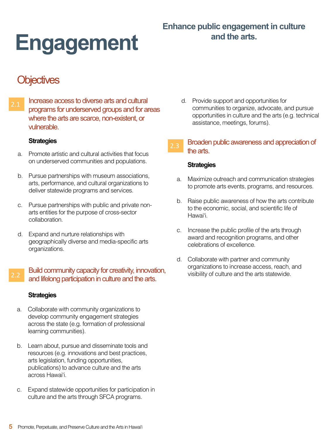# **and the arts. Engagement**

### **Objectives**

2.1 Increase access to diverse arts and cultural programs for underserved groups and for areas where the arts are scarce, non-existent, or vulnerable.

#### **Strategies**

- a. Promote artistic and cultural activities that focus on underserved communities and populations.
- b. Pursue partnerships with museum associations, arts, performance, and cultural organizations to deliver statewide programs and services.
- c. Pursue partnerships with public and private nonarts entities for the purpose of cross-sector collaboration.
- d. Expand and nurture relationships with geographically diverse and media-specific arts organizations.

#### Build community capacity for creativity, innovation, and lifelong participation in culture and the arts.

#### **Strategies**

- a. Collaborate with community organizations to develop community engagement strategies across the state (e.g. formation of professional learning communities).
- b. Learn about, pursue and disseminate tools and resources (e.g. innovations and best practices, arts legislation, funding opportunities, publications) to advance culture and the arts across Hawai'i.
- c. Expand statewide opportunities for participation in culture and the arts through SFCA programs.

d. Provide support and opportunities for communities to organize, advocate, and pursue opportunities in culture and the arts (e.g. technical assistance, meetings, forums).

#### 2.3 Broaden public awareness and appreciation of the arts.

- a. Maximize outreach and communication strategies to promote arts events, programs, and resources.
- b. Raise public awareness of how the arts contribute to the economic, social, and scientific life of Hawai'i.
- c. Increase the public profile of the arts through award and recognition programs, and other celebrations of excellence.
- d. Collaborate with partner and community organizations to increase access, reach, and visibility of culture and the arts statewide.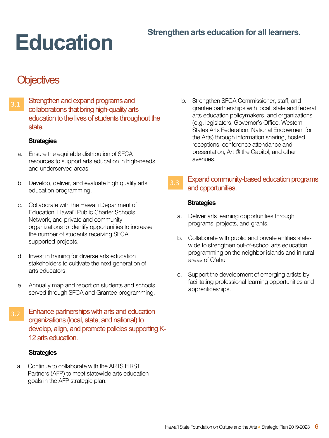# **Strengthen arts education for all learners.**

### **Objectives**

 $_{3.1}$  Strengthen and expand programs and collaborations that bring high-quality arts education to the lives of students throughout the state.

#### **Strategies**

- a. Ensure the equitable distribution of SFCA resources to support arts education in high-needs and underserved areas.
- b. Develop, deliver, and evaluate high quality arts education programming.
- c. Collaborate with the Hawai'i Department of Education, Hawai'i Public Charter Schools Network, and private and community organizations to identify opportunities to increase the number of students receiving SFCA supported projects.
- d. Invest in training for diverse arts education stakeholders to cultivate the next generation of arts educators.
- e. Annually map and report on students and schools served through SFCA and Grantee programming.
- $\overline{3.2}$  Enhance partnerships with arts and education organizations (local, state, and national) to develop, align, and promote policies supporting K-12 arts education.

#### **Strategies**

a. Continue to collaborate with the ARTS FIRST Partners (AFP) to meet statewide arts education goals in the AFP strategic plan.

b. Strengthen SFCA Commissioner, staff, and grantee partnerships with local, state and federal arts education policymakers, and organizations (e.g. legislators, Governor's Office, Western States Arts Federation, National Endowment for the Arts) through information sharing, hosted receptions, conference attendance and presentation, Art @ the Capitol, and other avenues.

#### $_{3.3}$  Expand community-based education programs and opportunities.

- a. Deliver arts learning opportunities through programs, projects, and grants.
- b. Collaborate with public and private entities statewide to strengthen out-of-school arts education programming on the neighbor islands and in rural areas of O'ahu.
- c. Support the development of emerging artists by facilitating professional learning opportunities and apprenticeships.